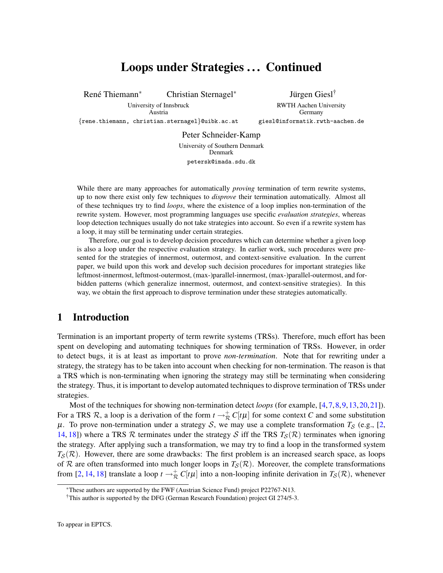# Loops under Strategies ... Continued

René Thiemann<sup>\*</sup> <sup>∗</sup> Christian Sternagel<sup>∗</sup>

University of Innsbruck Austria {rene.thiemann, christian.sternagel}@uibk.ac.at

Jürgen Giesl<sup>†</sup> RWTH Aachen University Germany giesl@informatik.rwth-aachen.de

Peter Schneider-Kamp University of Southern Denmark Denmark petersk@imada.sdu.dk

While there are many approaches for automatically *proving* termination of term rewrite systems, up to now there exist only few techniques to *disprove* their termination automatically. Almost all of these techniques try to find *loops*, where the existence of a loop implies non-termination of the rewrite system. However, most programming languages use specific *evaluation strategies*, whereas loop detection techniques usually do not take strategies into account. So even if a rewrite system has a loop, it may still be terminating under certain strategies.

Therefore, our goal is to develop decision procedures which can determine whether a given loop is also a loop under the respective evaluation strategy. In earlier work, such procedures were presented for the strategies of innermost, outermost, and context-sensitive evaluation. In the current paper, we build upon this work and develop such decision procedures for important strategies like leftmost-innermost, leftmost-outermost, (max-)parallel-innermost, (max-)parallel-outermost, and forbidden patterns (which generalize innermost, outermost, and context-sensitive strategies). In this way, we obtain the first approach to disprove termination under these strategies automatically.

## 1 Introduction

Termination is an important property of term rewrite systems (TRSs). Therefore, much effort has been spent on developing and automating techniques for showing termination of TRSs. However, in order to detect bugs, it is at least as important to prove *non-termination*. Note that for rewriting under a strategy, the strategy has to be taken into account when checking for non-termination. The reason is that a TRS which is non-terminating when ignoring the strategy may still be terminating when considering the strategy. Thus, it is important to develop automated techniques to disprove termination of TRSs under strategies.

Most of the techniques for showing non-termination detect *loops* (for example, [\[4,](#page-14-0)[7,](#page-14-1)[8,](#page-14-2)[9,](#page-14-3)[13,](#page-14-4)[20,](#page-14-5)[21\]](#page-14-6)). For a TRS R, a loop is a derivation of the form  $t \to \frac{\pi}{R} C[t\mu]$  for some context C and some substitution  $\mu$ . To prove non-termination under a strategy S, we may use a complete transformation  $T_S$  (e.g., [\[2,](#page-14-7) [14,](#page-14-8) [18\]](#page-14-9)) where a TRS  $R$  terminates under the strategy  $S$  iff the TRS  $T_S(R)$  terminates when ignoring the strategy. After applying such a transformation, we may try to find a loop in the transformed system  $T_S(\mathcal{R})$ . However, there are some drawbacks: The first problem is an increased search space, as loops of R are often transformed into much longer loops in  $T_S(\mathcal{R})$ . Moreover, the complete transformations from [\[2,](#page-14-7) [14,](#page-14-8) [18\]](#page-14-9) translate a loop  $t \to \frac{\pi}{R} C[t\mu]$  into a non-looping infinite derivation in  $T_S(\mathcal{R})$ , whenever

<sup>∗</sup>These authors are supported by the FWF (Austrian Science Fund) project P22767-N13.

<sup>†</sup>This author is supported by the DFG (German Research Foundation) project GI 274/5-3.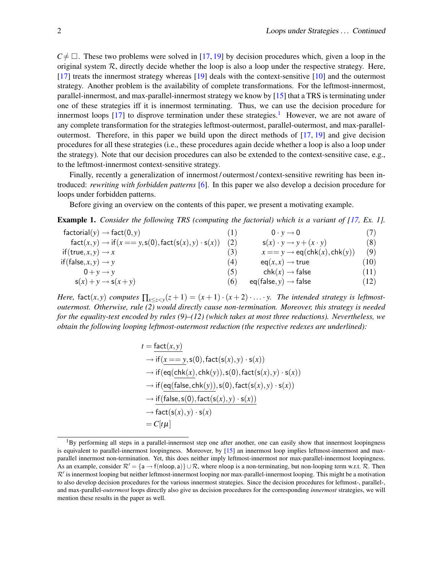$C \neq \Box$ . These two problems were solved in [\[17,](#page-14-10) [19\]](#page-14-11) by decision procedures which, given a loop in the original system  $\mathcal{R}$ , directly decide whether the loop is also a loop under the respective strategy. Here, [\[17\]](#page-14-10) treats the innermost strategy whereas [\[19\]](#page-14-11) deals with the context-sensitive [\[10\]](#page-14-12) and the outermost strategy. Another problem is the availability of complete transformations. For the leftmost-innermost, parallel-innermost, and max-parallel-innermost strategy we know by [\[15\]](#page-14-13) that a TRS is terminating under one of these strategies iff it is innermost terminating. Thus, we can use the decision procedure for innermost loops  $[17]$  to disprove termination under these strategies.<sup>[1](#page-1-0)</sup> However, we are not aware of any complete transformation for the strategies leftmost-outermost, parallel-outermost, and max-paralleloutermost. Therefore, in this paper we build upon the direct methods of [\[17,](#page-14-10) [19\]](#page-14-11) and give decision procedures for all these strategies (i.e., these procedures again decide whether a loop is also a loop under the strategy). Note that our decision procedures can also be extended to the context-sensitive case, e.g., to the leftmost-innermost context-sensitive strategy.

Finally, recently a generalization of innermost/outermost/context-sensitive rewriting has been introduced: *rewriting with forbidden patterns* [\[6\]](#page-14-14). In this paper we also develop a decision procedure for loops under forbidden patterns.

Before giving an overview on the contents of this paper, we present a motivating example.

<span id="page-1-1"></span>**Example 1.** *Consider the following TRS (computing the factorial) which is a variant of [\[17,](#page-14-10) Ex. 1].* 

| $factorial(y) \rightarrow fact(0, y)$                               | $\Box$ | $0 \cdot y \rightarrow 0$                  |      |
|---------------------------------------------------------------------|--------|--------------------------------------------|------|
| $fact(x, y) \rightarrow if(x == y, s(0), fact(s(x), y) \cdot s(x))$ |        | $s(x) \cdot y \rightarrow y + (x \cdot y)$ | (8)  |
| if $(\text{true}, x, y) \rightarrow x$                              | (3)    | $x == y \rightarrow eq(chk(x), chk(y))$    | (9)  |
| if (false, $x, y$ ) $\rightarrow$ y                                 | (4)    | $eq(x,x) \rightarrow true$                 | (10) |
| $0 + v \rightarrow v$                                               | (5)    | $chk(x) \rightarrow false$                 | (11) |
| $s(x) + y \rightarrow s(x + y)$                                     | (6)    | $eq(false, y) \rightarrow false$           | (12) |

*Here,* fact $(x, y)$  *computes*  $\prod_{x \le z < y} (z + 1) = (x + 1) \cdot (x + 2) \cdot \ldots \cdot y$ . The intended strategy is leftmost*outermost. Otherwise, rule (2) would directly cause non-termination. Moreover, this strategy is needed for the equality-test encoded by rules (9)–(12) (which takes at most three reductions). Nevertheless, we obtain the following looping leftmost-outermost reduction (the respective redexes are underlined):*

$$
t = \frac{\text{fact}(x, y)}{\text{if } (x == y, \text{s}(0), \text{fact}(\text{s}(x), y) \cdot \text{s}(x))}
$$
  
\n
$$
\rightarrow \text{if } (\text{eq}(\text{chk}(x), \text{chk}(y)), \text{s}(0), \text{fact}(\text{s}(x), y) \cdot \text{s}(x))
$$
  
\n
$$
\rightarrow \text{if } (\text{eq}(\text{false}, \text{chk}(y)), \text{s}(0), \text{fact}(\text{s}(x), y) \cdot \text{s}(x))
$$
  
\n
$$
\rightarrow \text{if}(\text{false}, \text{s}(0), \text{fact}(\text{s}(x), y) \cdot \text{s}(x))
$$
  
\n
$$
\rightarrow \text{fact}(\text{s}(x), y) \cdot \text{s}(x)
$$
  
\n
$$
= C[t\mu]
$$

<span id="page-1-0"></span> ${}^{1}$ By performing all steps in a parallel-innermost step one after another, one can easily show that innermost loopingness is equivalent to parallel-innermost loopingness. Moreover, by [\[15\]](#page-14-13) an innermost loop implies leftmost-innermost and maxparallel innermost non-termination. Yet, this does neither imply leftmost-innermost nor max-parallel-innermost loopingness. As an example, consider  $\mathcal{R}' = \{a \rightarrow f(n\vert \text{loop}, a)\} \cup \mathcal{R}$ , where nloop is a non-terminating, but non-looping term w.r.t.  $\mathcal{R}$ . Then  $\mathcal{R}'$  is innermost looping but neither leftmost-innermost looping nor max-parallel-innermost looping. This might be a motivation to also develop decision procedures for the various innermost strategies. Since the decision procedures for leftmost-, parallel-, and max-parallel-*outermost* loops directly also give us decision procedures for the corresponding *innermost* strategies, we will mention these results in the paper as well.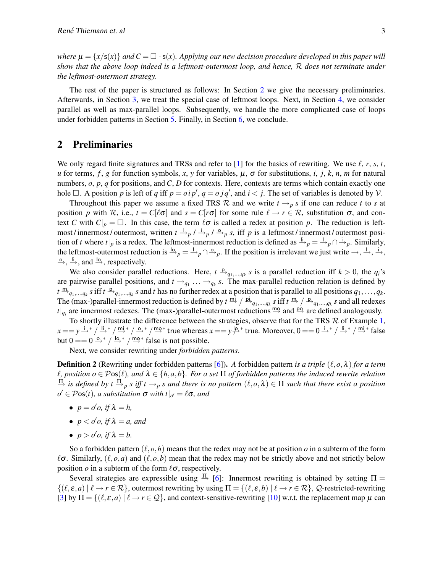*where*  $\mu = \{x/\mathsf{s}(x)\}\$  *and*  $C = \Box \cdot \mathsf{s}(x)$ *. Applying our new decision procedure developed in this paper will show that the above loop indeed is a leftmost-outermost loop, and hence,* R *does not terminate under the leftmost-outermost strategy.*

The rest of the paper is structured as follows: In Section [2](#page-2-0) we give the necessary preliminaries. Afterwards, in Section [3,](#page-4-0) we treat the special case of leftmost loops. Next, in Section [4,](#page-7-0) we consider parallel as well as max-parallel loops. Subsequently, we handle the more complicated case of loops under forbidden patterns in Section [5.](#page-8-0) Finally, in Section [6,](#page-13-0) we conclude.

## <span id="page-2-0"></span>2 Preliminaries

We only regard finite signatures and TRSs and refer to [\[1\]](#page-14-15) for the basics of rewriting. We use  $\ell$ , *r*, *s*, *t*, *u* for terms, *f*, *g* for function symbols, *x*, *y* for variables,  $\mu$ , σ for substitutions, *i*, *j*, *k*, *n*, *m* for natural numbers, *o*, *p*, *q* for positions, and *C*, *D* for contexts. Here, contexts are terms which contain exactly one hole  $\Box$ . A position *p* is left of *q* iff  $p = oip'$ ,  $q = ojq'$ , and  $i < j$ . The set of variables is denoted by  $V$ .

Throughout this paper we assume a fixed TRS R and we write  $t \rightarrow p s$  if one can reduce t to s at position *p* with R, i.e.,  $t = C[\ell \sigma]$  and  $s = C[r\sigma]$  for some rule  $\ell \to r \in \mathcal{R}$ , substitution  $\sigma$ , and context *C* with  $C|_p = \Box$ . In this case, the term  $\ell \sigma$  is called a redex at position *p*. The reduction is leftmost / innermost / outermost, written  $t \xrightarrow{l} p / \xrightarrow{i} p / \xrightarrow{\alpha} p s$ , iff *p* is a leftmost / innermost / outermost position of *t* where  $t|_p$  is a redex. The leftmost-innermost reduction is defined as  $\frac{1}{p}$  $p = \frac{1}{p}$ ,  $\frac{1}{p}$ . Similarly, the leftmost-outermost reduction is  $\frac{10}{p} = \frac{1}{p} \cap \frac{9}{p}$ . If the position is irrelevant we just write  $\to$ ,  $\frac{1}{p}$ ,  $\frac{1}{p}$ ,  $\stackrel{\circ}{\rightarrow}$ ,  $\stackrel{\text{li}}{\rightarrow}$ , and  $\stackrel{\text{lo}}{\rightarrow}$ , respectively.

We also consider parallel reductions. Here,  $t \xrightarrow{p} q_1, \dots, q_k$  s is a parallel reduction iff  $k > 0$ , the  $q_i$ 's are pairwise parallel positions, and  $t \rightarrow_{q_1} \ldots \rightarrow_{q_k} s$ . The max-parallel reduction relation is defined by  $t \stackrel{m}{\rightarrow}_{q_1,\dots,q_k} s$  iff  $t \stackrel{p}{\rightarrow}_{q_1,\dots,q_k} s$  and  $t$  has no further redex at a position that is parallel to all positions  $q_1,\dots,q_k$ . The (max-)parallel-innermost reduction is defined by  $t \stackrel{mi}{\to} / \stackrel{pi}{\to}_{q_1,...,q_k} s$  iff  $t \stackrel{m}{\to} / \stackrel{p}{\to}_{q_1,...,q_k} s$  and all redexes  $t|_{q_i}$  are innermost redexes. The (max-)parallel-outermost reductions  $mg$  and  $pg$  are defined analogously.

To shortly illustrate the difference between the strategies, observe that for the TRS  $R$  of Example [1,](#page-1-1)  $x=$   $y$   $\stackrel{\text{i}}{\rightarrow}{}^*/\stackrel{\text{ii}}{\rightarrow}{}^*/\stackrel{\text{m}}{\rightarrow}{}^*/\stackrel{\text{m}}{\rightarrow}{}^*/\stackrel{\text{m}}{\rightarrow}{}^*$  true whereas  $x==$   $y$   $\stackrel{\text{i}}{\not\rightarrow}{}^*$  true. Moreover,  $0==$  0  $\stackrel{\text{i}}{\rightarrow}{}^*/\stackrel{\text{i}}{\rightarrow}{}^*/\stackrel{\text{mi}}{\rightarrow}{}^*$  false but  $0 = 0 \stackrel{\circ}{\rightarrow}^* / \stackrel{\text{lo}}{\rightarrow}^* / \stackrel{\text{mo}}{\rightarrow}^*$  false is not possible.

Next, we consider rewriting under *forbidden patterns*.

**Definition 2** (Rewriting under forbidden patterns [\[6\]](#page-14-14)). A forbidden pattern *is a triple*  $(\ell, o, \lambda)$  *for a term*  $\ell$ , position  $o \in \mathcal{P}$ os( $\ell$ ), and  $\lambda \in \{h,a,b\}$ *. For a set*  $\Pi$  *of forbidden patterns the induced rewrite relation*  $\frac{\Pi}{\rightarrow}$  *is defined by t*  $\frac{\Pi}{\rightarrow}$  *p s iff t*  $\rightarrow$  *p s* and there is no pattern  $(\ell, o, \lambda) \in \Pi$  such that there exist a position  $o' \in \mathcal{P}$ os(*t*), a substitution  $\sigma$  with  $t|_{o'} = \ell \sigma$ , and

- $p = o' o$ , if  $\lambda = h$ ,
- $p < o'o$ , if  $\lambda = a$ , and
- $p > o' o$ , if  $\lambda = b$ .

So a forbidden pattern  $(\ell, o, h)$  means that the redex may not be at position  $o$  in a subterm of the form  $\ell\sigma$ . Similarly,  $(\ell, o, a)$  and  $(\ell, o, b)$  mean that the redex may not be strictly above and not strictly below position  $o$  in a subterm of the form  $\ell \sigma$ , respectively.

Several strategies are expressible using  $\frac{\Pi}{\Pi}$  [\[6\]](#page-14-14): Innermost rewriting is obtained by setting  $\Pi$  =  $\{(\ell, \varepsilon, a) \mid \ell \to r \in \mathcal{R}\},$  outermost rewriting by using  $\Pi = \{(\ell, \varepsilon, b) \mid \ell \to r \in \mathcal{R}\},$  Q-restricted-rewriting [\[3\]](#page-14-16) by  $\Pi = \{(\ell, \varepsilon, a) | \ell \to r \in \mathcal{Q}\}$ , and context-sensitive-rewriting [\[10\]](#page-14-12) w.r.t. the replacement map  $\mu$  can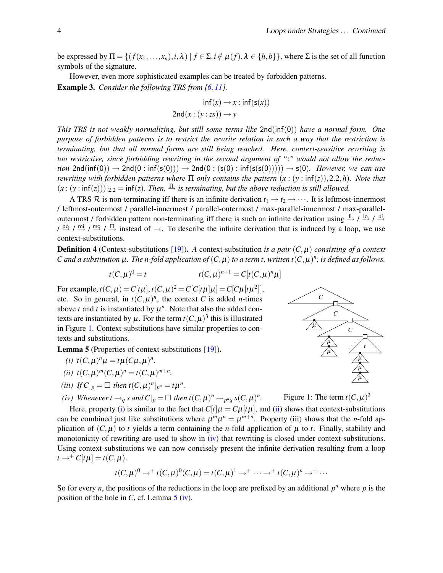be expressed by  $\Pi = \{ (f(x_1,...,x_n), i, \lambda) \mid f \in \Sigma, i \notin \mu(f), \lambda \in \{h, b\} \}$ , where  $\Sigma$  is the set of all function symbols of the signature.

<span id="page-3-6"></span>However, even more sophisticated examples can be treated by forbidden patterns. Example 3. *Consider the following TRS from [\[6,](#page-14-14) [11\]](#page-14-17).*

$$
\inf(x) \to x : \inf(s(x))
$$
  
2nd(x: (y:zs))  $\to y$ 

*This TRS is not weakly normalizing, but still some terms like* 2nd(inf(0)) *have a normal form. One purpose of forbidden patterns is to restrict the rewrite relation in such a way that the restriction is terminating, but that all normal forms are still being reached. Here, context-sensitive rewriting is too restrictive, since forbidding rewriting in the second argument of "*:*" would not allow the reduction*  $2nd(inf(0)) \rightarrow 2nd(0: inf(s(0))) \rightarrow 2nd(0:(s(0): inf(s(s(0)))) \rightarrow s(0)$ *. However, we can use rewriting with forbidden patterns where* Π *only contains the pattern* (*x* : (*y* : inf(*z*)),2.2,*h*)*. Note that*  $(x:(y:\inf(z)))|_{2,2} = \inf(z)$ . Then,  $\frac{\Pi}{\rightarrow}$  is terminating, but the above reduction is still allowed.

A TRS R is non-terminating iff there is an infinite derivation  $t_1 \rightarrow t_2 \rightarrow \cdots$ . It is leftmost-innermost / leftmost-outermost / parallel-innermost / parallel-outermost / max-parallel-innermost / max-paralleloutermost / forbidden pattern non-terminating iff there is such an infinite derivation using  $\frac{1}{2}$  /  $\frac{1}{2}$  /  $\frac{p_1}{2}$  $\gamma$  po /  $\frac{m}{r}$  /  $\frac{m}{r}$  /  $\frac{\pi}{r}$  instead of  $\rightarrow$ . To describe the infinite derivation that is induced by a loop, we use context-substitutions.

**Definition 4** (Context-substitutions [\[19\]](#page-14-11)). A context-substitution *is a pair*  $(C, \mu)$  *consisting of a context C* and a substitution  $\mu$ . The n-fold application of  $(C, \mu)$  to a term t, written  $t(C, \mu)^n$ , is defined as follows.

$$
t(C, \mu)^0 = t
$$
  $t(C, \mu)^{n+1} = C[t(C, \mu)^n \mu]$ 

For example,  $t(C, \mu) = C[t\mu], t(C, \mu)^2 = C[C[t\mu]\mu] = C[C\mu[t\mu^2]],$ etc. So in general, in  $t(C, \mu)^n$ , the context *C* is added *n*-times above *t* and *t* is instantiated by  $\mu^n$ . Note that also the added contexts are instantiated by  $\mu$ . For the term  $t(C, \mu)^3$  this is illustrated in Figure [1.](#page-3-0) Context-substitutions have similar properties to contexts and substitutions.

<span id="page-3-4"></span><span id="page-3-1"></span>Lemma 5 (Properties of context-substitutions [\[19\]](#page-14-11)).

- (*i*)  $t(C, \mu)^n \mu = t \mu(C\mu, \mu)^n$ .
- <span id="page-3-2"></span> $(ti)$   $t(C, \mu)^m(C, \mu)^n = t(C, \mu)^{m+n}$ .
- *(iii)*  $If C|_{p} = \Box$  *then*  $t(C, \mu)^{n}|_{p^{n}} = t\mu^{n}$ .

<span id="page-3-3"></span>*(iv) Whenever*  $t \rightarrow_q s$  *and*  $C|_p = \Box$  *then*  $t(C, \mu)^n \rightarrow_{p^n q} s(C, \mu)^n$ *.* 

Here, property [\(i\)](#page-3-1) is similar to the fact that  $C[t] \mu = C\mu[t\mu]$ , and [\(ii\)](#page-3-2) shows that context-substitutions can be combined just like substitutions where  $\mu^m \mu^n = \mu^{m+n}$ . Property (iii) shows that the *n*-fold application of  $(C, \mu)$  to *t* yields a term containing the *n*-fold application of  $\mu$  to *t*. Finally, stability and monotonicity of rewriting are used to show in [\(iv\)](#page-3-3) that rewriting is closed under context-substitutions. Using context-substitutions we can now concisely present the infinite derivation resulting from a loop  $t \rightarrow^{+} C[t\mu] = t(C, \mu).$ 

$$
t(C,\mu)^0 \to^+ t(C,\mu)^0(C,\mu) = t(C,\mu)^1 \to^+ \cdots \to^+ t(C,\mu)^n \to^+ \cdots
$$

<span id="page-3-5"></span>So for every *n*, the positions of the reductions in the loop are prefixed by an additional  $p^n$  where  $p$  is the position of the hole in *C*, cf. Lemma [5](#page-3-4) [\(iv\)](#page-3-3).



<span id="page-3-0"></span>Figure 1: The term  $t(C, \mu)^3$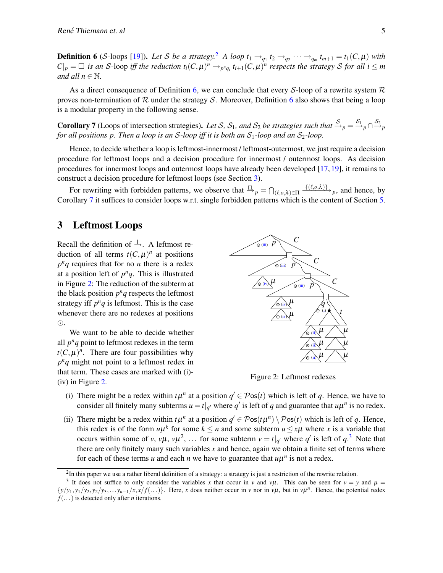**Definition 6** (S-loops [\[19\]](#page-14-11)). Let S be a strategy.<sup>[2](#page-4-1)</sup> A loop  $t_1 \rightarrow_{q_1} t_2 \rightarrow_{q_2} \cdots \rightarrow_{q_m} t_{m+1} = t_1(C, \mu)$  with  $|C|_p = \Box$  is an S-loop iff the reduction  $t_i(C,\mu)^n \to_{p^n q_i} t_{i+1}(C,\mu)^n$  respects the strategy S for all  $i \leq m$ *and all*  $n \in \mathbb{N}$ *.* 

As a direct consequence of Definition [6,](#page-3-5) we can conclude that every S-loop of a rewrite system  $\mathcal R$ proves non-termination of  $\mathcal R$  under the strategy  $\mathcal S$ . Moreover, Definition [6](#page-3-5) also shows that being a loop is a modular property in the following sense.

<span id="page-4-2"></span>**Corollary 7** (Loops of intersection strategies). Let S, S<sub>1</sub>, and S<sub>2</sub> be strategies such that  $\frac{S}{p} = \frac{S_1}{p} \cap \frac{S_2}{p}$ *for all positions p. Then a loop is an S-loop iff it is both an*  $S_1$ *-loop and an*  $S_2$ *-loop.* 

Hence, to decide whether a loop is leftmost-innermost / leftmost-outermost, we just require a decision procedure for leftmost loops and a decision procedure for innermost / outermost loops. As decision procedures for innermost loops and outermost loops have already been developed [\[17,](#page-14-10) [19\]](#page-14-11), it remains to construct a decision procedure for leftmost loops (see Section [3\)](#page-4-0).

For rewriting with forbidden patterns, we observe that  $\frac{\Pi}{p} = \bigcap_{(\ell,o,\lambda)\in\Pi} \frac{\{(\ell,o,\lambda)\}}{p}$ , and hence, by Corollary [7](#page-4-2) it suffices to consider loops w.r.t. single forbidden patterns which is the content of Section [5.](#page-8-0)

## <span id="page-4-0"></span>3 Leftmost Loops

Recall the definition of  $\stackrel{1}{\rightarrow}$ . A leftmost reduction of all terms  $t(C, \mu)^n$  at positions  $p^n q$  requires that for no *n* there is a redex at a position left of  $p^n q$ . This is illustrated in Figure [2:](#page-4-5) The reduction of the subterm at the black position  $p^n q$  respects the leftmost strategy iff  $p^n q$  is leftmost. This is the case whenever there are no redexes at positions .

We want to be able to decide whether all  $p^n q$  point to leftmost redexes in the term  $t(C, \mu)^n$ . There are four possibilities why  $p^n q$  might not point to a leftmost redex in that term. These cases are marked with (i)- (iv) in Figure [2.](#page-4-5)



<span id="page-4-5"></span>Figure 2: Leftmost redexes

- <span id="page-4-3"></span>(i) There might be a redex within  $t\mu^n$  at a position  $q' \in \mathcal{P}$ os( $t$ ) which is left of  $q$ . Hence, we have to consider all finitely many subterms  $u = t|_{q'}$  where  $q'$  is left of  $q$  and guarantee that  $u\mu^n$  is no redex.
- <span id="page-4-4"></span>(ii) There might be a redex within  $t\mu^n$  at a position  $q' \in \mathcal{P}os(t\mu^n) \setminus \mathcal{P}os(t)$  which is left of *q*. Hence, this redex is of the form  $u\mu^k$  for some  $k \leq n$  and some subterm  $u \leq x\mu$  where *x* is a variable that occurs within some of *v*, *v*µ, *v*µ<sup>2</sup>, ... for some subterm  $v = t|_{q'}$  where  $q'$  is left of  $q$ <sup>[3](#page-4-6)</sup>. Note that there are only finitely many such variables *x* and hence, again we obtain a finite set of terms where for each of these terms *u* and each *n* we have to guarantee that  $u\mu^n$  is not a redex.

<span id="page-4-6"></span><span id="page-4-1"></span> $2$ In this paper we use a rather liberal definition of a strategy: a strategy is just a restriction of the rewrite relation.

<sup>&</sup>lt;sup>3</sup> It does not suffice to only consider the variables x that occur in v and v $\mu$ . This can be seen for  $v = y$  and  $\mu =$  $\{y/y_1, y_1/y_2, y_2/y_3, \ldots, y_{n-1}/x, x/f(\ldots)\}\$ . Here, x does neither occur in v nor in v $\mu$ , but in v $\mu^n$ . Hence, the potential redex *f*(...) is detected only after *n* iterations.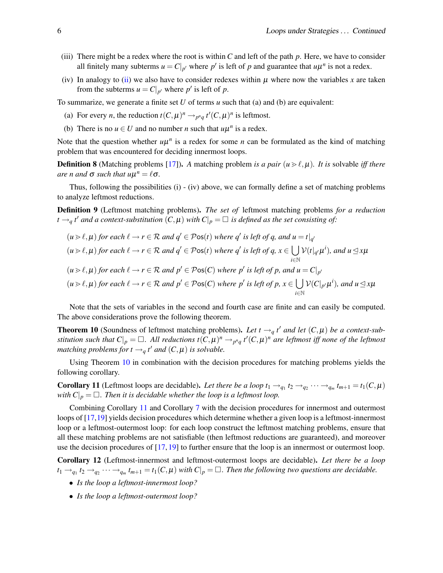- <span id="page-5-0"></span>(iii) There might be a redex where the root is within *C* and left of the path *p*. Here, we have to consider all finitely many subterms  $u = C|_{p'}$  where  $p'$  is left of  $p$  and guarantee that  $u\mu^n$  is not a redex.
- <span id="page-5-1"></span>(iv) In analogy to [\(ii\)](#page-4-4) we also have to consider redexes within  $\mu$  where now the variables *x* are taken from the subterms  $u = C|_{p'}$  where  $p'$  is left of  $p$ .

To summarize, we generate a finite set *U* of terms *u* such that (a) and (b) are equivalent:

- (a) For every *n*, the reduction  $t(C, \mu)^n \rightarrow_{p^n q} t'(C, \mu)^n$  is leftmost.
- (b) There is no  $u \in U$  and no number *n* such that  $u\mu^n$  is a redex.

Note that the question whether  $u\mu^n$  is a redex for some *n* can be formulated as the kind of matching problem that was encountered for deciding innermost loops.

**Definition 8** (Matching problems [\[17\]](#page-14-10)). A matching problem *is a pair*  $(u \gt \ell, \mu)$ *. It is* solvable *iff there*  $\alpha$ *n* and  $\sigma$  *such that*  $u\mu^n = \ell \sigma$ .

Thus, following the possibilities (i) - (iv) above, we can formally define a set of matching problems to analyze leftmost reductions.

Definition 9 (Leftmost matching problems). *The set of* leftmost matching problems *for a reduction*  $t \rightarrow_q t'$  and a context-substitution  $(C, \mu)$  with  $C|_p = \Box$  is defined as the set consisting of:

$$
(u \ge \ell, \mu) \text{ for each } \ell \to r \in \mathcal{R} \text{ and } q' \in \mathcal{P} \text{os}(t) \text{ where } q' \text{ is left of } q \text{, and } u = t|_{q'}
$$
\n
$$
(u \ge \ell, \mu) \text{ for each } \ell \to r \in \mathcal{R} \text{ and } q' \in \mathcal{P} \text{os}(t) \text{ where } q' \text{ is left of } q \text{, } x \in \bigcup_{i \in \mathbb{N}} \mathcal{V}(t|_{q'}\mu^i) \text{, and } u \le x\mu
$$
\n
$$
(u \ge \ell, \mu) \text{ for each } \ell \to r \in \mathcal{R} \text{ and } p' \in \mathcal{P} \text{os}(C) \text{ where } p' \text{ is left of } p \text{, and } u = C|_{p'}
$$
\n
$$
(u \ge \ell, \mu) \text{ for each } \ell \to r \in \mathcal{R} \text{ and } p' \in \mathcal{P} \text{os}(C) \text{ where } p' \text{ is left of } p \text{, } x \in \bigcup_{i \in \mathbb{N}} \mathcal{V}(C|_{p'}\mu^i) \text{, and } u \le x\mu
$$

Note that the sets of variables in the second and fourth case are finite and can easily be computed. The above considerations prove the following theorem.

<span id="page-5-2"></span>**Theorem 10** (Soundness of leftmost matching problems). Let  $t \rightarrow q t'$  and let  $(C, \mu)$  be a context-substitution such that  $C|_p = \Box$ . All reductions  $t(C, \mu)^n \to_{p^nq} t'(C, \mu)^n$  are leftmost iff none of the leftmost *matching problems for t*  $\rightarrow_q$  *t' and*  $(C, \mu)$  *is solvable.* 

Using Theorem [10](#page-5-2) in combination with the decision procedures for matching problems yields the following corollary.

<span id="page-5-3"></span>**Corollary 11** (Leftmost loops are decidable). Let there be a loop  $t_1 \rightarrow_{q_1} t_2 \rightarrow_{q_2} \cdots \rightarrow_{q_m} t_{m+1} = t_1(C, \mu)$ *with*  $C|_p = \Box$ . Then it is decidable whether the loop is a leftmost loop.

Combining Corollary [11](#page-5-3) and Corollary [7](#page-4-2) with the decision procedures for innermost and outermost loops of [\[17,](#page-14-10)[19\]](#page-14-11) yields decision procedures which determine whether a given loop is a leftmost-innermost loop or a leftmost-outermost loop: for each loop construct the leftmost matching problems, ensure that all these matching problems are not satisfiable (then leftmost reductions are guaranteed), and moreover use the decision procedures of [\[17,](#page-14-10) [19\]](#page-14-11) to further ensure that the loop is an innermost or outermost loop.

<span id="page-5-4"></span>Corollary 12 (Leftmost-innermost and leftmost-outermost loops are decidable). *Let there be a loop*  $t_1 \rightarrow_{q_1} t_2 \rightarrow_{q_2} \cdots \rightarrow_{q_m} t_{m+1} = t_1(C, \mu)$  with  $C|_p = \Box$ . Then the following two questions are decidable.

- *Is the loop a leftmost-innermost loop?*
- *Is the loop a leftmost-outermost loop?*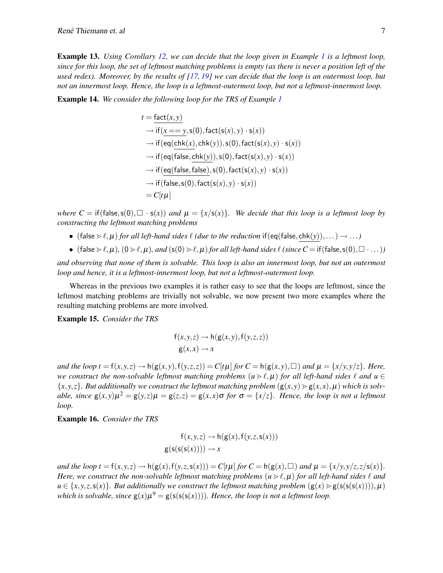Example 13. *Using Corollary [12,](#page-5-4) we can decide that the loop given in Example [1](#page-1-1) is a leftmost loop, since for this loop, the set of leftmost matching problems is empty (as there is never a position left of the used redex). Moreover, by the results of [\[17,](#page-14-10) [19\]](#page-14-11) we can decide that the loop is an outermost loop, but not an innermost loop. Hence, the loop is a leftmost-outermost loop, but not a leftmost-innermost loop.*

<span id="page-6-0"></span>Example 14. *We consider the following loop for the TRS of Example [1](#page-1-1)*

$$
t = \frac{\text{fact}(x, y)}{\text{if } (x == y, \text{s}(0), \text{fact}(\text{s}(x), y) \cdot \text{s}(x))}
$$
  
\n
$$
\rightarrow \text{if } (\text{eq}(\text{chk}(x), \text{chk}(y)), \text{s}(0), \text{fact}(\text{s}(x), y) \cdot \text{s}(x))
$$
  
\n
$$
\rightarrow \text{if } (\text{eq}(\text{false}, \text{chk}(y)), \text{s}(0), \text{fact}(\text{s}(x), y) \cdot \text{s}(x))
$$
  
\n
$$
\rightarrow \text{if } (\text{eq}(\text{false}, \text{false}), \text{s}(0), \text{fact}(\text{s}(x), y) \cdot \text{s}(x))
$$
  
\n
$$
\rightarrow \text{if}(\text{false}, \text{s}(0), \text{fact}(\text{s}(x), y) \cdot \text{s}(x))
$$
  
\n
$$
= C[t\mu]
$$

*where*  $C = \text{if}(\text{false}, \text{s}(0), \Box \cdot \text{s}(x))$  *and*  $\mu = \{x/\text{s}(x)\}\$ *. We decide that this loop is a leftmost loop by constructing the leftmost matching problems*

- (false  $\geq \ell,\mu$ ) *for all left-hand sides*  $\ell$  *(due to the reduction* if(eq(false, chk(y)),...)  $\rightarrow$ ...)
- (false  $\gg \ell,\mu$ )*,*  $(0 \gg \ell,\mu)$ *, and*  $(s(0) \gg \ell,\mu)$  *for all left-hand sides*  $\ell$  (since  $C = \text{if}(\text{false},s(0), \Box \cdot \ldots)$ )

*and observing that none of them is solvable. This loop is also an innermost loop, but not an outermost loop and hence, it is a leftmost-innermost loop, but not a leftmost-outermost loop.*

Whereas in the previous two examples it is rather easy to see that the loops are leftmost, since the leftmost matching problems are trivially not solvable, we now present two more examples where the resulting matching problems are more involved.

Example 15. *Consider the TRS*

$$
f(x, y, z) \rightarrow h(g(x, y), f(y, z, z))
$$

$$
g(x, x) \rightarrow x
$$

and the loop  $t = f(x, y, z) \rightarrow h(g(x, y), f(y, z, z)) = C[t\mu]$  for  $C = h(g(x, y), \Box)$  and  $\mu = \{x/y, y/z\}$ . Here, *we construct the non-solvable leftmost matching problems*  $(u \ge l, \mu)$  *for all left-hand sides*  $\ell$  *and*  $u \in$  $\{x, y, z\}$ *. But additionally we construct the leftmost matching problem*  $(g(x, y) > g(x, x), \mu)$  *which is solvable, since*  $g(x,y)\mu^2 = g(y,z)\mu = g(z,z) = g(x,x)\sigma$  *for*  $\sigma = \{x/z\}$ *. Hence, the loop is not a leftmost loop.*

Example 16. *Consider the TRS*

$$
f(x, y, z) \rightarrow h(g(x), f(y, z, s(x)))
$$

$$
g(s(s(s(x)))) \rightarrow x
$$

and the loop  $t = f(x, y, z) \rightarrow h(g(x), f(y, z, s(x))) = C[t\mu]$  for  $C = h(g(x), \Box)$  and  $\mu = \{x/y, y/z, z/s(x)\}.$ *Here, we construct the non-solvable leftmost matching problems*  $(u \ge l, \mu)$  *for all left-hand sides*  $\ell$  *and*  $u \in \{x, y, z, s(x)\}\$ *. But additionally we construct the leftmost matching problem*  $(g(x) > g(s(s(s(x))))$ ,  $\mu$ ) which is solvable, since  $g(x) \mu^9 = g(s(s(s(x))))$ . Hence, the loop is not a leftmost loop.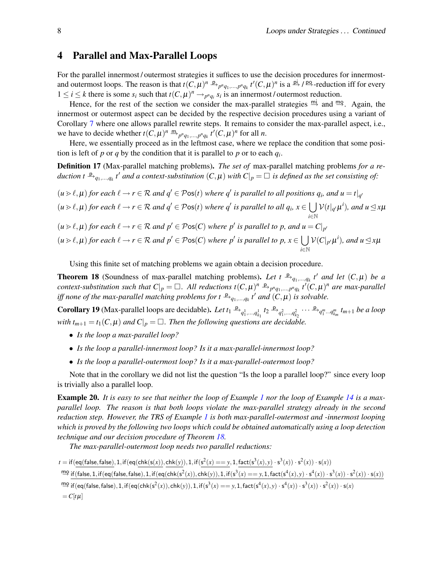## <span id="page-7-0"></span>4 Parallel and Max-Parallel Loops

For the parallel innermost / outermost strategies it suffices to use the decision procedures for innermostand outermost loops. The reason is that  $t(C, \mu)^n \xrightarrow{p} p^n q_1, ..., p^n q_k t'(C, \mu)^n$  is a  $\stackrel{\text{pi}}{\to} / \stackrel{\text{pg}}{\to}$ -reduction iff for every  $1 \leq i \leq k$  there is some  $s_i$  such that  $t(C, \mu)^n \rightarrow_{p^n q_i} s_i$  is an innermost/outermost reduction.

Hence, for the rest of the section we consider the max-parallel strategies  $\frac{m}{2}$  and  $\frac{mg}{2}$ . Again, the innermost or outermost aspect can be decided by the respective decision procedures using a variant of Corollary [7](#page-4-2) where one allows parallel rewrite steps. It remains to consider the max-parallel aspect, i.e., we have to decide whether  $t(C, \mu)^n \stackrel{m}{\rightarrow}_{p^n q_1, ..., p^n q_k} t'(C, \mu)^n$  for all *n*.

Here, we essentially proceed as in the leftmost case, where we replace the condition that some position is left of  $p$  or  $q$  by the condition that it is parallel to  $p$  or to each  $q_i$ .

Definition 17 (Max-parallel matching problems). *The set of* max-parallel matching problems *for a re* $duction t \xrightarrow{p} q_1,...,q_k t'$  and a context-substitution  $(C, \mu)$  with  $C|_p = \Box$  is defined as the set consisting of:

 $(u \triangleright \ell, \mu)$  *for each*  $\ell \to r \in \mathcal{R}$  *and*  $q' \in \mathcal{P}$  os $(t)$  *where*  $q'$  *is parallel to all positions*  $q_i$ *, and*  $u = t|_{q'}$  $(u \triangleright \ell, \mu)$  *for each*  $\ell \to r \in \mathcal{R}$  *and*  $q' \in \mathcal{P}$  os(*t*) *where*  $q'$  *is parallel to all*  $q_i, x \in \bigcup$ *i*∈N  $\mathcal{V}(t|_{q}|\mu^{i}),$  and  $u \leq x\mu$  $(u \triangleright \ell, \mu)$  *for each*  $\ell \to r \in \mathcal{R}$  *and*  $p' \in \mathcal{P}$  os(*C*) *where*  $p'$  *is parallel to p, and*  $u = C|_{p'}$  $(u \triangleright \ell, \mu)$  *for each*  $\ell \to r \in \mathcal{R}$  *and*  $p' \in \mathcal{P}$  os(*C*) *where*  $p'$  *is parallel to*  $p, x \in \bigcup$ *i*∈N  $\mathcal{V}(C|_{p'}\mu^{i}),$  and  $u \leq x\mu$ 

Using this finite set of matching problems we again obtain a decision procedure.

<span id="page-7-1"></span>**Theorem 18** (Soundness of max-parallel matching problems). Let  $t \xrightarrow{p} q_1,...,q_k t'$  and let  $(C, \mu)$  be a *context-substitution such that*  $C|_p = \Box$ . All reductions  $t(C, \mu)^n \xrightarrow{p} p^n q_1, ..., p^n q_k$   $t^i(C, \mu)^n$  are max-parallel *iff none of the max-parallel matching problems for*  $t \xrightarrow{p} q_1, ..., q_k t'$  *and*  $(C, \mu)$  *is solvable.* 

**Corollary 19** (Max-parallel loops are decidable). Let  $t_1 \xrightarrow{p} q_1^1, ..., q_{k_1}^1$   $t_2 \xrightarrow{p} q_1^2, ..., q_{k_2}^2$   $\cdots \xrightarrow{p} q_1^m ... q_{k_m}^m$   $t_{m+1}$  be a loop *with*  $t_{m+1} = t_1(C, \mu)$  *and*  $C|_p = \square$ . *Then the following questions are decidable.* 

- *Is the loop a max-parallel loop?*
- *Is the loop a parallel-innermost loop? Is it a max-parallel-innermost loop?*
- *Is the loop a parallel-outermost loop? Is it a max-parallel-outermost loop?*

Note that in the corollary we did not list the question "Is the loop a parallel loop?" since every loop is trivially also a parallel loop.

Example 20. *It is easy to see that neither the loop of Example [1](#page-1-1) nor the loop of Example [14](#page-6-0) is a maxparallel loop. The reason is that both loops violate the max-parallel strategy already in the second reduction step. However, the TRS of Example [1](#page-1-1) is both max-parallel-outermost and -innermost looping which is proved by the following two loops which could be obtained automatically using a loop detection technique and our decision procedure of Theorem [18.](#page-7-1)*

*The max-parallel-outermost loop needs two parallel reductions:*

 $t = \text{if}(\text{eq}(\text{false}, \text{false}), 1, \text{if}(\text{eq}(\text{chk}(s(x)), \text{chk}(y)), 1, \text{if}(s^2(x) == y, 1, \text{fact}(s^3(x), y) \cdot s^3(x)) \cdot s^2(x)) \cdot s(x))$  $\lim_{x \to a}$  if (false, 1, if (eq(false, false), 1, if (eq(chk(s<sup>2</sup>(x)), chk(y)), 1, if(s<sup>3</sup>(x) == y, 1, fact(s<sup>4</sup>(x), y) · s<sup>4</sup>(x)) · s<sup>3</sup>(x)) · s<sup>2</sup>(x)) · s(x))  $\lim_{x\to a} \text{if}(\text{eq}(\text{false},\text{false}),1,\text{if}(\text{eq}(\text{chk}(s^2(x)),\text{chk}(y)),1,\text{if}(s^3(x) == y,1,\text{fact}(s^4(x),y)\cdot s^4(x))\cdot s^3(x))\cdot s^2(x))\cdot s(x)$  $= C[t\mu]$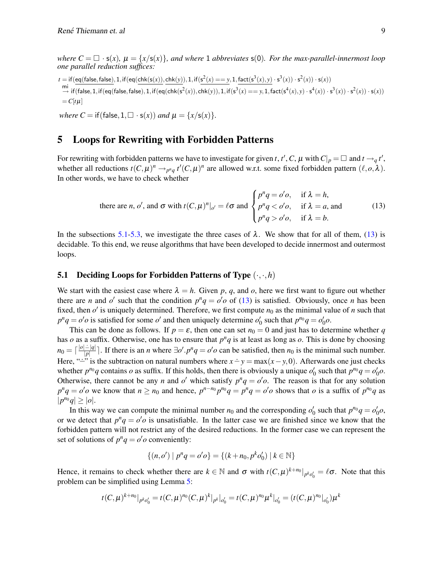*where*  $C = \Box \cdot s(x)$ ,  $\mu = \{x/s(x)\}\$ , and where 1 abbreviates  $s(0)$ . For the max-parallel-innermost loop *one parallel reduction suffices:*

 $t = \text{if}(\text{eq}(\text{false}, \text{false}), 1, \text{if}(\text{eq}(\text{chk}(s(x)), \text{chk}(y)), 1, \text{if}(s^2(x) == y, 1, \text{fact}(s^3(x), y) \cdot s^3(x)) \cdot s^2(x)) \cdot s(x))$  $\frac{1}{x}$  if (false, 1, if(eq(false, false), 1, if(eq(chk(s<sup>2</sup>(x)), chk(y)), 1, if(s<sup>3</sup>(x) == *y*, 1, fact(s<sup>4</sup>(x), *y*) ⋅ s<sup>4</sup>(x)) ⋅ s<sup>3</sup>(x)) ⋅ s<sup>2</sup>(x)) ⋅ s<sup>2</sup>(x)) ⋅ s<sup>2</sup>(x)) ⋅ s<sup>2</sup>(x)) ⋅ s<sup>2</sup>(x)) ⋅ s<sup>2</sup>(x)) ⋅ s<sup>2</sup>(x))  $= C[t\mu]$ 

*where*  $C = \text{if}(\text{false}, 1, \Box \cdot \text{s}(x))$  *and*  $\mu = \{x/\text{s}(x)\}.$ 

## <span id="page-8-0"></span>5 Loops for Rewriting with Forbidden Patterns

For rewriting with forbidden patterns we have to investigate for given *t*, *t'*, *C*,  $\mu$  with  $C|_p = \Box$  and  $t \rightarrow_q t'$ , whether all reductions  $t(C, \mu)^n \to_{p^n q} t'(C, \mu)^n$  are allowed w.r.t. some fixed forbidden pattern  $(\ell, o, \lambda)$ . In other words, we have to check whether

<span id="page-8-2"></span>there are *n*, *o'*, and 
$$
\sigma
$$
 with  $t(C, \mu)^n|_{o'} = \ell \sigma$  and 
$$
\begin{cases} p^n q = o' o, & \text{if } \lambda = h, \\ p^n q < o' o, & \text{if } \lambda = a, \text{ and} \\ p^n q > o' o, & \text{if } \lambda = b. \end{cases}
$$
 (13)

In the subsections [5.1](#page-8-1)[-5.3,](#page-11-0) we investigate the three cases of  $\lambda$ . We show that for all of them, [\(13\)](#page-8-2) is decidable. To this end, we reuse algorithms that have been developed to decide innermost and outermost loops.

#### <span id="page-8-1"></span>5.1 Deciding Loops for Forbidden Patterns of Type (·,·,*h*)

We start with the easiest case where  $\lambda = h$ . Given p, q, and o, here we first want to figure out whether there are *n* and *o'* such that the condition  $p^n q = o' o$  of [\(13\)](#page-8-2) is satisfied. Obviously, once *n* has been fixed, then  $o'$  is uniquely determined. Therefore, we first compute  $n_0$  as the minimal value of *n* such that  $p^n q = o' o$  is satisfied for some *o*' and then uniquely determine  $o'_0$  such that  $p^{n_0} q = o'_0 o$ .

This can be done as follows. If  $p = \varepsilon$ , then one can set  $n_0 = 0$  and just has to determine whether *q* has  $o$  as a suffix. Otherwise, one has to ensure that  $p<sup>n</sup>q$  is at least as long as  $o$ . This is done by choosing  $n_0 = \lceil \frac{|o| - |q|}{|p|}$  $\frac{|\cdot|q|}{|p|}$ . If there is an *n* where  $\exists o'.p^nq = o'o$  can be satisfied, then *n*<sub>0</sub> is the minimal such number. Here, " $\therefore$ " is the subtraction on natural numbers where  $x \div y = \max(x - y, 0)$ . Afterwards one just checks whether  $p^{n_0}q$  contains *o* as suffix. If this holds, then there is obviously a unique  $o'_0$  such that  $p^{n_0}q = o'_0o$ . Otherwise, there cannot be any *n* and *o'* which satisfy  $p^n q = o' o$ . The reason is that for any solution  $p^n q = o' o$  we know that  $n \ge n_0$  and hence,  $p^{n-n_0} p^{n_0} q = p^n q = o' o$  shows that o is a suffix of  $p^{n_0} q$  as  $|p^{n_0}q| \geq |o|.$ 

In this way we can compute the minimal number  $n_0$  and the corresponding  $o'_0$  such that  $p^{n_0}q = o'_0o$ , or we detect that  $p^n q = o' o$  is unsatisfiable. In the latter case we are finished since we know that the forbidden pattern will not restrict any of the desired reductions. In the former case we can represent the set of solutions of  $p^n q = o' o$  conveniently:

$$
\{(n, o') \mid p^n q = o' o\} = \{(k + n_0, p^k o'_0) \mid k \in \mathbb{N}\}\
$$

Hence, it remains to check whether there are  $k \in \mathbb{N}$  and  $\sigma$  with  $t(C, \mu)^{k+n_0}|_{p^k o_0'} = \ell \sigma$ . Note that this problem can be simplified using Lemma [5:](#page-3-4)

$$
t(C,\mu)^{k+n_0}|_{p^k o_0'} = t(C,\mu)^{n_0}(C,\mu)^k|_{p^k|o_0'} = t(C,\mu)^{n_0}\mu^k|_{o_0'} = (t(C,\mu)^{n_0}|_{o_0'})\mu^k
$$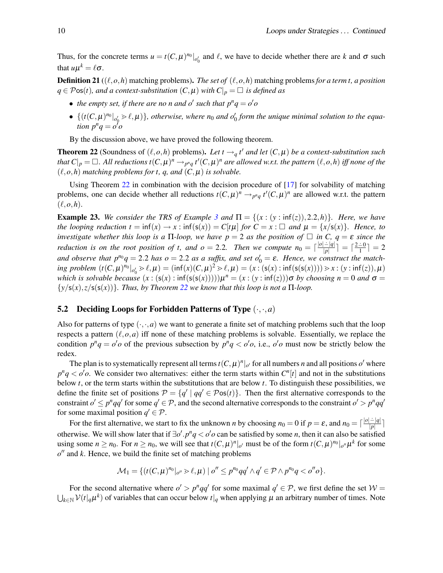Thus, for the concrete terms  $u = t(C, \mu)^{n_0} \vert_{o'_0}$  and  $\ell$ , we have to decide whether there are *k* and  $\sigma$  such that  $u\mu^k = \ell \sigma$ .

**Definition 21** ( $(\ell, o, h)$  matching problems). *The set of*  $(\ell, o, h)$  matching problems *for a term t, a position q* ∈ Pos(*t*)*, and a context-substitution*  $(C, \mu)$  *with*  $C|_p = \Box$  *is defined as* 

- the empty set, if there are no n and  $o'$  such that  $p^nq = o'o$
- $\{(t(C, \mu)^{n_0}|_{o'_0} > \ell, \mu)\}\$ , otherwise, where  $n_0$  and  $o'_0$  form the unique minimal solution to the equa*tion*  $p^nq = o^{\delta}o$

By the discussion above, we have proved the following theorem.

<span id="page-9-0"></span>**Theorem 22** (Soundness of  $(\ell, o, h)$  problems). Let  $t \rightarrow q t'$  and let  $(C, \mu)$  be a context-substitution such *that*  $C|_p = \Box$ . All reductions  $t(C, \mu)^n \to_{p^nq} t'(C, \mu)^n$  are allowed w.r.t. the pattern  $(\ell, o, h)$  iff none of the  $(\ell, o, h)$  *matching problems for t, q, and*  $(C, \mu)$  *is solvable.* 

Using Theorem [22](#page-9-0) in combination with the decision procedure of [\[17\]](#page-14-10) for solvability of matching problems, one can decide whether all reductions  $t(C, \mu)^n \to_{p^n q} t'(C, \mu)^n$  are allowed w.r.t. the pattern  $(\ell, o, h)$ .

**Example 2[3](#page-3-6).** We consider the TRS of Example 3 and  $\Pi = \{(x : (y : \inf(z)), 2.2, h)\}\$ . Here, we have *the looping reduction t* = inf(*x*)  $\rightarrow$  *x* : inf(*s*(*x*)) = *C*[*t*µ] *for C* = *x* :  $\Box$  *and*  $\mu$  = {*x*/*s*(*x*)}*. Hence, to investigate whether this loop is a*  $\Pi$ -loop, we have  $p = 2$  *as the position of*  $\Box$  *in C*,  $q = \varepsilon$  *since the reduction is on the root position of t, and*  $o = 2.2$ *. Then we compute*  $n_0 = \lceil \frac{|o| - |q|}{|p|} \rceil$  $\frac{| \div |q|}{|p|}$  =  $\lceil \frac{2 \div 0}{1} \rceil = 2$ and observe that  $p^{n_0}q = 2.2$  has  $o = 2.2$  as a suffix, and set  $o'_0 = \varepsilon$ . Hence, we construct the match- $\lim_{M \to \infty} \text{problem } (t(C, \mu)^{n_0} |_{o'_0} > \ell, \mu) = (\inf(x)(C, \mu)^2 > \ell, \mu) = (x : (s(x) : \inf(s(s(x)))) > x : (y : \inf(z)), \mu)$ *which is solvable because*  $(x : (s(x) : inf(s(s(x)))))\mu^n = (x : (y : inf(z)))\sigma$  *by choosing*  $n = 0$  *and*  $\sigma =$  $\{y/\mathsf{s}(x), z/\mathsf{s}(\mathsf{s}(x))\}$ *. Thus, by Theorem* [22](#page-9-0) *we know that this loop is not a*  $\Pi$ *-loop.* 

#### **5.2** Deciding Loops for Forbidden Patterns of Type  $(\cdot, \cdot, a)$

Also for patterns of type  $(\cdot, \cdot, a)$  we want to generate a finite set of matching problems such that the loop respects a pattern  $(\ell, o, a)$  iff none of these matching problems is solvable. Essentially, we replace the condition  $p^n q = o' o$  of the previous subsection by  $p^n q < o' o$ , i.e.,  $o' o$  must now be strictly below the redex.

The plan is to systematically represent all terms  $t(C, \mu)^n|_{o'}$  for all numbers *n* and all positions  $o'$  where  $p^n q \lt o' o$ . We consider two alternatives: either the term starts within  $C^n[t]$  and not in the substitutions below *t*, or the term starts within the substitutions that are below *t*. To distinguish these possibilities, we define the finite set of positions  $P = \{q' \mid qq' \in \mathcal{P}$ os $(t)\}$ . Then the first alternative corresponds to the constraint  $o' \leq p^n q q'$  for some  $q' \in \mathcal{P}$ , and the second alternative corresponds to the constraint  $o' > p^n qq'$ for some maximal position  $q' \in \mathcal{P}$ .

For the first alternative, we start to fix the unknown *n* by choosing  $n_0 = 0$  if  $p = \varepsilon$ , and  $n_0 = \lceil \frac{|o| - |q|}{|p|} \rceil$  $\frac{|-|q|}{|p|}$ otherwise. We will show later that if  $\exists o'.p^n q < o'o$  can be satisfied by some *n*, then it can also be satisfied using some  $n \ge n_0$ . For  $n \ge n_0$ , we will see that  $t(C, \mu)^n|_{o'}$  must be of the form  $t(C, \mu)^{n_0}|_{o''}\mu^k$  for some  $o''$  and  $k$ . Hence, we build the finite set of matching problems

$$
\mathcal{M}_1 = \{ (t(C, \mu)^{n_0}|_{o''} > \ell, \mu) \mid o'' \leq p^{n_0}qq' \land q' \in \mathcal{P} \land p^{n_0}q < o''o \}.
$$

For the second alternative where  $o' > p^n q q'$  for some maximal  $q' \in \mathcal{P}$ , we first define the set  $\mathcal{W} =$  $\bigcup_{k\in\mathbb{N}}\mathcal{V}(t|_q\mu^k)$  of variables that can occur below  $t|_q$  when applying  $\mu$  an arbitrary number of times. Note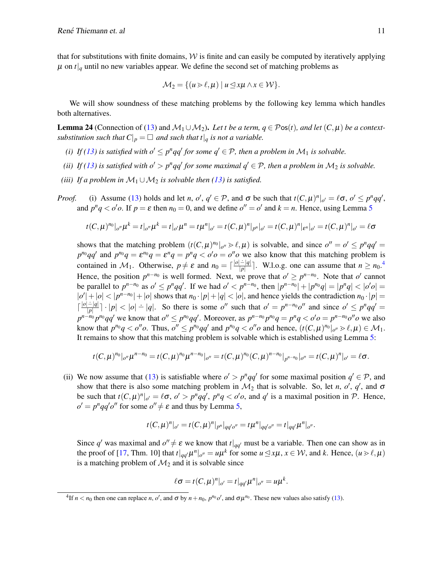that for substitutions with finite domains,  $W$  is finite and can easily be computed by iteratively applying  $\mu$  on  $t|_q$  until no new variables appear. We define the second set of matching problems as

$$
\mathcal{M}_2 = \{ (u \ge \ell, \mu) \mid u \le x\mu \land x \in \mathcal{W} \}.
$$

We will show soundness of these matching problems by the following key lemma which handles both alternatives.

<span id="page-10-1"></span>**Lemma 24** (Connection of [\(13\)](#page-8-2) and  $M_1 \cup M_2$ ). Let t be a term,  $q \in \mathcal{P}$ os(t), and let  $(C, \mu)$  be a context*substitution such that*  $C|_p = \Box$  *and such that*  $t|_q$  *is not a variable.* 

- *(i) If* [\(13\)](#page-8-2) is satisfied with  $o' \leq p^n q q'$  for some  $q' \in \mathcal{P}$ , then a problem in  $\mathcal{M}_1$  is solvable.
- *(ii) If* [\(13\)](#page-8-2) is satisfied with  $o' > p^n q q'$  for some maximal  $q' \in \mathcal{P}$ , then a problem in  $\mathcal{M}_2$  is solvable.
- *(iii) If a problem in*  $M_1 \cup M_2$  *is solvable then [\(13\)](#page-8-2) is satisfied.*
- *Proof.* (i) Assume [\(13\)](#page-8-2) holds and let *n*, *o'*, *q'*  $\in \mathcal{P}$ , and  $\sigma$  be such that  $t(C, \mu)^n|_{o'} = \ell \sigma$ ,  $o' \leq p^nqq'$ , and  $p^n q < o' o$ . If  $p = \varepsilon$  then  $n_0 = 0$ , and we define  $o'' = o'$  and  $k = n$ . Hence, using Lemma [5](#page-3-4)

$$
t(C,\mu)^{n_0}|_{o''}\mu^k = t|_{o''}\mu^k = t|_{o'}\mu^n = t\mu^n|_{o'} = t(C,\mu)^n|_{p^n}|_{o'} = t(C,\mu)^n|_{\varepsilon^n}|_{o'} = t(C,\mu)^n|_{o'} = \ell\sigma
$$

shows that the matching problem  $(t(C, \mu)^{n_0}|_{o'} \ge \ell, \mu)$  is solvable, and since  $o'' = o' \le p^n qq' = o'$  $p^{n_0}qq'$  and  $p^{n_0}q = \varepsilon^{n_0}q = \varepsilon^n q = p^n q < o'o = o''o$  we also know that this matching problem is contained in M<sub>1</sub>. Otherwise,  $p \neq \varepsilon$  and  $n_0 = \lceil \frac{|o| - |q|}{|p|} \rceil$  $\frac{|\cdot|q|}{|p|}$ . W.l.o.g. one can assume that  $n \ge n_0$ .<sup>[4](#page-10-0)</sup> Hence, the position  $p^{n-n_0}$  is well formed. Next, we prove that  $o' \geq p^{n-n_0}$ . Note that  $o'$  cannot be parallel to  $p^{n-n_0}$  as  $o' \leq p^nqq'$ . If we had  $o' < p^{n-n_0}$ , then  $|p^{n-n_0}| + |p^{n_0}q| = |p^nq| < |o'o| =$  $|o'| + |o| < |p^{n-n_0}| + |o|$  shows that  $n_0 \cdot |p| + |q| < |o|$ , and hence yields the contradiction  $n_0 \cdot |p| =$  $\lceil \frac{|o|-|q|}{|p|}$  $\frac{|\cdot|q|}{|p|} \cdot |p| < |o| + |q|$ . So there is some *o*<sup>n</sup> such that  $o' = p^{n-n_0}o''$  and since  $o' \leq p^nqq' =$  $p^{n-n_0}p^{n_0}qq'$  we know that  $o'' \le p^{n_0}qq'$ . Moreover, as  $p^{n-n_0}p^{n_0}q = p^nq < o'o = p^{n-n_0}o''o$  we also know that  $p^{n_0}q < o''o$ . Thus,  $o'' \le p^{n_0}qq'$  and  $p^{n_0}q < o''o$  and hence,  $(t(C, \mu)^{n_0}|_{o''} > l, \mu) \in \mathcal{M}_1$ . It remains to show that this matching problem is solvable which is established using Lemma [5:](#page-3-4)

$$
t(C,\mu)^{n_0}|_{o''}\mu^{n-n_0}=t(C,\mu)^{n_0}\mu^{n-n_0}|_{o''}=t(C,\mu)^{n_0}(C,\mu)^{n-n_0}|_{p^{n-n_0}}|_{o''}=t(C,\mu)^{n}|_{o'}=\ell\sigma.
$$

(ii) We now assume that [\(13\)](#page-8-2) is satisfiable where  $o' > p^n q q'$  for some maximal position  $q' \in \mathcal{P}$ , and show that there is also some matching problem in  $M_2$  that is solvable. So, let *n*, *o'*, *q'*, and  $\sigma$ be such that  $t(C, \mu)^n|_{o'} = \ell \sigma$ ,  $o' > p^n qq'$ ,  $p^n q < o'o$ , and  $q'$  is a maximal position in P. Hence,  $o' = p^n q q' o''$  for some  $o'' \neq \varepsilon$  and thus by Lemma [5,](#page-3-4)

$$
t(C,\mu)^n|_{o'}=t(C,\mu)^n|_{p^n}|_{qq'o''}=t\mu^n|_{qq'o''}=t|_{qq'}\mu^n|_{o''}.
$$

Since q' was maximal and  $o'' \neq \varepsilon$  we know that  $t|_{qq'}$  must be a variable. Then one can show as in the proof of [\[17,](#page-14-10) Thm. 10] that  $t|_{qq'}\mu^n|_{o''}=u\mu^k$  for some  $u\leq x\mu$ ,  $x\in\mathcal{W}$ , and *k*. Hence,  $(u\geq\ell,\mu)$ is a matching problem of  $\mathcal{M}_2$  and it is solvable since

$$
\ell \sigma = t(C, \mu)^n|_{o'} = t|_{qq'}\mu^n|_{o''} = u\mu^k.
$$

<span id="page-10-0"></span><sup>&</sup>lt;sup>4</sup>If  $n < n_0$  then one can replace *n*, *o'*, and  $\sigma$  by  $n + n_0$ ,  $p^{n_0}o'$ , and  $\sigma \mu^{n_0}$ . These new values also satisfy [\(13\)](#page-8-2).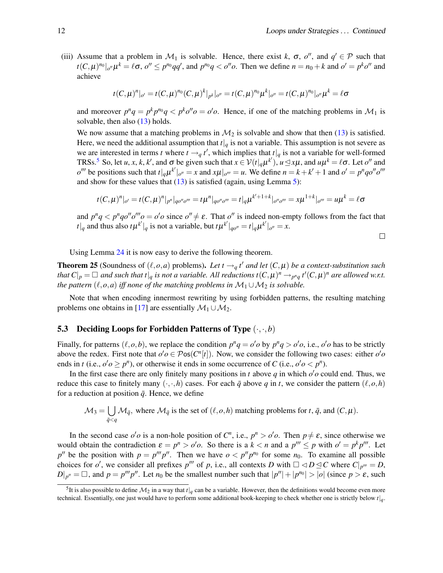(iii) Assume that a problem in  $\mathcal{M}_1$  is solvable. Hence, there exist k,  $\sigma$ ,  $o''$ , and  $q' \in \mathcal{P}$  such that  $t(C, \mu)^{n_0}|_{o''}\mu^k = \ell \sigma$ ,  $o'' \le p^{n_0}qq'$ , and  $p^{n_0}q < o''o$ . Then we define  $n = n_0 + k$  and  $o' = p^k o''$  and achieve

$$
t(C,\mu)^n|_{o'}=t(C,\mu)^{n_0}(C,\mu)^k|_{p^k}|_{o''}=t(C,\mu)^{n_0}\mu^k|_{o''}=t(C,\mu)^{n_0}|_{o''}\mu^k=\ell\sigma
$$

and moreover  $p^n q = p^k p^{n_0} q < p^k o'' o = o' o$ . Hence, if one of the matching problems in  $\mathcal{M}_1$  is solvable, then also [\(13\)](#page-8-2) holds.

We now assume that a matching problems in  $\mathcal{M}_2$  is solvable and show that then [\(13\)](#page-8-2) is satisfied. Here, we need the additional assumption that  $t|_q$  is not a variable. This assumption is not severe as we are interested in terms *t* where  $t \rightarrow q t'$ , which implies that  $t|q$  is not a variable for well-formed TRSs.<sup>[5](#page-11-1)</sup> So, let *u*, *x*, *k*, *k'*, and  $\sigma$  be given such that  $x \in V(t|_q\mu^{k'})$ ,  $u \leq x\mu$ , and  $u\mu^k = \ell\sigma$ . Let  $o''$  and  $o''$  be positions such that  $t|_q\mu^{k'}|_{o''}=x$  and  $x\mu|_{o'''}=u$ . We define  $n=k+k'+1$  and  $o'=p^nq o''o'''$ and show for these values that  $(13)$  is satisfied (again, using Lemma [5\)](#page-3-4):

$$
t(C,\mu)^{n}|_{o'}=t(C,\mu)^{n}|_{p^{n}}|_{q^{o''}o'''}=t\mu^{n}|_{q^{o''}o'''}=t|_{q}\mu^{k'+1+k}|_{o''o'''}=x\mu^{1+k}|_{o'''}=u\mu^{k}=\ell\sigma
$$

and  $p^n q < p^n q o'' o''' o = o' o$  since  $o'' \neq \varepsilon$ . That  $o''$  is indeed non-empty follows from the fact that  $t|_q$  and thus also  $t\mu^{k'}|_q$  is not a variable, but  $t\mu^{k'}|_{qo''}=t|_q\mu^{k'}|_{o''}=x$ .

 $\Box$ 

Using Lemma [24](#page-10-1) it is now easy to derive the following theorem.

<span id="page-11-2"></span>**Theorem 25** (Soundness of  $(\ell, o, a)$  problems). Let  $t \rightarrow q t'$  and let  $(C, \mu)$  be a context-substitution such *that*  $C|_p = \Box$  and such that  $t|_q$  is not a variable. All reductions  $t(C, \mu)^n \to_{p^n q} t'(C, \mu)^n$  are allowed w.r.t. *the pattern*  $(\ell, o, a)$  *iff none of the matching problems in*  $\mathcal{M}_1 \cup \mathcal{M}_2$  *is solvable.* 

Note that when encoding innermost rewriting by using forbidden patterns, the resulting matching problems one obtains in [\[17\]](#page-14-10) are essentially  $\mathcal{M}_1 \cup \mathcal{M}_2$ .

#### <span id="page-11-0"></span>**5.3** Deciding Loops for Forbidden Patterns of Type  $(\cdot, \cdot, b)$

Finally, for patterns  $(\ell, o, b)$ , we replace the condition  $p^n q = o' o$  by  $p^n q > o' o$ , i.e.,  $o' o$  has to be strictly above the redex. First note that  $o'o \in Pos(C^n[t])$ . Now, we consider the following two cases: either  $o'o$ ends in *t* (i.e.,  $o' o \ge p^n$ ), or otherwise it ends in some occurrence of *C* (i.e.,  $o' o < p^n$ ).

In the first case there are only finitely many positions in  $t$  above  $q$  in which  $o'o$  could end. Thus, we reduce this case to finitely many  $(\cdot, \cdot, h)$  cases. For each  $\bar{q}$  above  $q$  in  $t$ , we consider the pattern  $(\ell, o, h)$ for a reduction at position  $\bar{q}$ . Hence, we define

$$
\mathcal{M}_3 = \bigcup_{\bar{q} < q} \mathcal{M}_{\bar{q}}, \text{ where } \mathcal{M}_{\bar{q}} \text{ is the set of } (\ell, o, h) \text{ matching problems for } t, \bar{q}, \text{ and } (C, \mu).
$$

In the second case  $o'o$  is a non-hole position of  $C^n$ , i.e.,  $p^n > o'o$ . Then  $p \neq \varepsilon$ , since otherwise we would obtain the contradiction  $\varepsilon = p^n > o'o$ . So there is a  $k < n$  and a  $p''' \le p$  with  $o' = p^k p'''$ . Let *p*<sup>*n*</sup> be the position with  $p = p^m p^n$ . Then we have  $o < p^n p^{n_0}$  for some  $n_0$ . To examine all possible choices for  $o'$ , we consider all prefixes  $p'''$  of  $p$ , i.e., all contexts  $D$  with  $\Box \triangleleft D \trianglelefteq C$  where  $C|_{p'''} = D$ ,  $D|_{p''} = \Box$ , and  $p = p'''p''$ . Let  $n_0$  be the smallest number such that  $|p''| + |p^{n_0}| > |o|$  (since  $p > \varepsilon$ , such

<span id="page-11-1"></span><sup>&</sup>lt;sup>5</sup>It is also possible to define  $M_2$  in a way that  $t|_q$  can be a variable. However, then the definitions would become even more technical. Essentially, one just would have to perform some additional book-keeping to check whether one is strictly below *t*|*q*.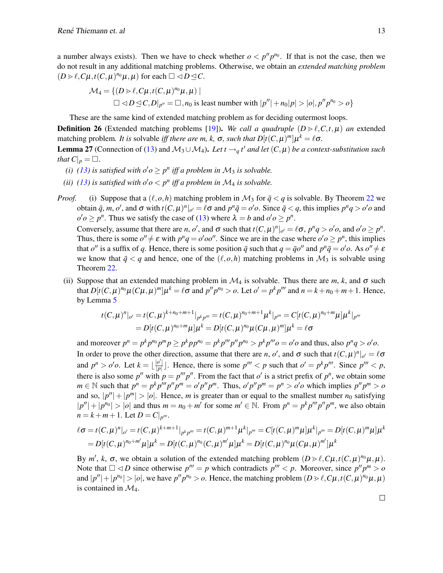a number always exists). Then we have to check whether  $o < p''p^{n_0}$ . If that is not the case, then we do not result in any additional matching problems. Otherwise, we obtain an *extended matching problem*  $(D \triangleright \ell, C\mu, t(C, \mu)^{n_0}\mu, \mu)$  for each  $\Box \triangleleft D \trianglelefteq C$ .

$$
\mathcal{M}_4 = \{ (D \ge \ell, C\mu, t(C, \mu)^{n_0}\mu, \mu) \mid
$$
  

$$
\square \triangleleft D \trianglelefteq C, D|_{p''} = \square, n_0 \text{ is least number with } |p''| + n_0|p| > |o|, p''p^{n_0} > o \}
$$

These are the same kind of extended matching problem as for deciding outermost loops.

**Definition 26** (Extended matching problems [\[19\]](#page-14-11)). We call a quadruple  $(D \triangleright \ell, C, t, \mu)$  an extended matching problem. *It is* solvable *iff there are m, k,*  $\sigma$ *, such that*  $D[t(C, \mu)^m] \mu^k = \ell \sigma$ .

<span id="page-12-0"></span>**Lemma 27** (Connection of [\(13\)](#page-8-2) and  $M_3 \cup M_4$ ). Let  $t \rightarrow q t'$  and let  $(C, \mu)$  be a context-substitution such *that*  $C|_p = \square$ .

- *(i)* [\(13\)](#page-8-2) is satisfied with  $o'o \geq p^n$  iff a problem in  $\mathcal{M}_3$  is solvable.
- *(ii)* [\(13\)](#page-8-2) is satisfied with  $o'o < p^n$  iff a problem in  $\mathcal{M}_4$  *is solvable.*
- *Proof.* (i) Suppose that a  $(\ell, o, h)$  matching problem in  $\mathcal{M}_3$  for  $\bar{q} < q$  is solvable. By Theorem [22](#page-9-0) we obtain  $\bar{q}$ , m, o', and  $\sigma$  with  $t(C, \mu)^n|_{o'} = \ell \sigma$  and  $p^n \bar{q} = o' o$ . Since  $\bar{q} < q$ , this implies  $p^n q > o' o$  and  $o'o \geq p^n$ . Thus we satisfy the case of [\(13\)](#page-8-2) where  $\lambda = b$  and  $o'o \geq p^n$ .

Conversely, assume that there are *n*, *o'*, and  $\sigma$  such that  $t(C, \mu)^n|_{o'} = \ell \sigma$ ,  $p^n q > o' o$ , and  $o' o \geq p^n$ . Thus, there is some  $o'' \neq \varepsilon$  with  $p^n q = o'oo''$ . Since we are in the case where  $o' o \geq p^n$ , this implies that  $o''$  is a suffix of *q*. Hence, there is some position  $\bar{q}$  such that  $q = \bar{q}o''$  and  $p^n\bar{q} = o'o$ . As  $o'' \neq \varepsilon$ we know that  $\bar{q} < q$  and hence, one of the  $(\ell, o, h)$  matching problems in  $\mathcal{M}_3$  is solvable using Theorem [22.](#page-9-0)

(ii) Suppose that an extended matching problem in  $\mathcal{M}_4$  is solvable. Thus there are  $m$ ,  $k$ , and  $\sigma$  such that  $D[t(C, \mu)^{n_0}\mu(C\mu, \mu)^m]\mu^k = \ell\sigma$  and  $p''p^{n_0} > o$ . Let  $o' = p^kp''$  and  $n = k + n_0 + m + 1$ . Hence, by Lemma [5](#page-3-4)

$$
t(C,\mu)^{n}|_{o'} = t(C,\mu)^{k+n_0+m+1}|_{p^{k}p'''} = t(C,\mu)^{n_0+m+1}\mu^{k}|_{p'''} = C[t(C,\mu)^{n_0+m}\mu]\mu^{k}|_{p'''}= D[t(C,\mu)^{n_0+m}\mu]\mu^{k} = D[t(C,\mu)^{n_0}\mu(C\mu,\mu)^{m}]\mu^{k} = \ell\sigma
$$

and moreover  $p^n = p^k p^{n_0} p^m p \ge p^k p p^{n_0} = p^k p''' p'' p^{n_0} > p^k p''' o = o' o$  and thus, also  $p^n q > o' o$ . In order to prove the other direction, assume that there are *n*, *o'*, and  $\sigma$  such that  $t(C, \mu)^n|_{o'} = \ell \sigma$ and  $p^n > 0$ , Let  $k = \lfloor \frac{|o'|}{|p|} \rfloor$  $\frac{|p'|}{|p|}$ . Hence, there is some  $p''' < p$  such that  $o' = p^k p'''$ . Since  $p''' < p$ , there is also some p'' with  $p = p'''p''$ . From the fact that  $o'$  is a strict prefix of  $p^n$ , we obtain some  $m \in \mathbb{N}$  such that  $p^n = p^k p^m p^n p^n = o' p'' p^m$ . Thus,  $o' p'' p^m = p^n > o' o$  which implies  $p'' p^m > o'$ and so,  $|p''| + |p^m| > |o|$ . Hence, *m* is greater than or equal to the smallest number *n*<sub>0</sub> satisfying  $|p''| + |p^{n_0}| > |o|$  and thus  $m = n_0 + m'$  for some  $m' \in \mathbb{N}$ . From  $p^n = p^k p^m p^n$ , we also obtain  $n = k + m + 1$ . Let  $D = C|_{p^m}$ .

$$
\ell \sigma = t(C, \mu)^n |_{o'} = t(C, \mu)^{k+m+1} |_{p^k p'''} = t(C, \mu)^{m+1} \mu^k |_{p'''} = C[t(C, \mu)^m \mu] \mu^k |_{p'''} = D[t(C, \mu)^m \mu] \mu^k
$$
  
=  $D[t(C, \mu)^{n_0+m'} \mu] \mu^k = D[t(C, \mu)^{n_0}(C, \mu)^m' \mu] \mu^k = D[t(C, \mu)^{n_0} \mu(C\mu, \mu)^m'] \mu^k$ 

By  $m'$ ,  $k$ ,  $\sigma$ , we obtain a solution of the extended matching problem  $(D \ge \ell, C\mu, t(C, \mu)^{n_0}\mu, \mu)$ . Note that  $\Box \triangleleft D$  since otherwise  $p''' = p$  which contradicts  $p''' < p$ . Moreover, since  $p''p^m > o$ and  $|p''|+|p^{n_0}|>|o|$ , we have  $p''p^{n_0}>o$ . Hence, the matching problem  $(D \ge \ell, C\mu, t(C, \mu)^{n_0}\mu, \mu)$ is contained in  $\mathcal{M}_4$ .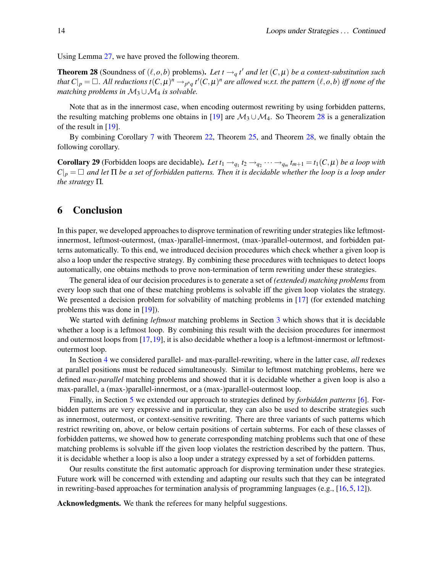<span id="page-13-1"></span>Using Lemma [27,](#page-12-0) we have proved the following theorem.

**Theorem 28** (Soundness of  $(\ell, o, b)$  problems). Let  $t \rightarrow q t'$  and let  $(C, \mu)$  be a context-substitution such that  $C|_p = \Box$ . All reductions  $t(C, \mu)^n \to_{p^nq} t'(C, \mu)^n$  are allowed w.r.t. the pattern  $(\ell, o, b)$  iff none of the *matching problems in*  $M_3 \cup M_4$  *is solvable.* 

Note that as in the innermost case, when encoding outermost rewriting by using forbidden patterns, the resulting matching problems one obtains in [\[19\]](#page-14-11) are  $\mathcal{M}_3 \cup \mathcal{M}_4$ . So Theorem [28](#page-13-1) is a generalization of the result in [\[19\]](#page-14-11).

By combining Corollary [7](#page-4-2) with Theorem [22,](#page-9-0) Theorem [25,](#page-11-2) and Theorem [28,](#page-13-1) we finally obtain the following corollary.

**Corollary 29** (Forbidden loops are decidable). Let  $t_1 \rightarrow_{q_1} t_2 \rightarrow_{q_2} \cdots \rightarrow_{q_m} t_{m+1} = t_1(C, \mu)$  be a loop with  $C|_p = \Box$  and let  $\Pi$  *be a set of forbidden patterns. Then it is decidable whether the loop is a loop under the strategy* Π*.*

### <span id="page-13-0"></span>6 Conclusion

In this paper, we developed approaches to disprove termination of rewriting under strategies like leftmostinnermost, leftmost-outermost, (max-)parallel-innermost, (max-)parallel-outermost, and forbidden patterns automatically. To this end, we introduced decision procedures which check whether a given loop is also a loop under the respective strategy. By combining these procedures with techniques to detect loops automatically, one obtains methods to prove non-termination of term rewriting under these strategies.

The general idea of our decision procedures is to generate a set of *(extended) matching problems* from every loop such that one of these matching problems is solvable iff the given loop violates the strategy. We presented a decision problem for solvability of matching problems in [\[17\]](#page-14-10) (for extended matching problems this was done in [\[19\]](#page-14-11)).

We started with defining *leftmost* matching problems in Section [3](#page-4-0) which shows that it is decidable whether a loop is a leftmost loop. By combining this result with the decision procedures for innermost and outermost loops from  $[17,19]$  $[17,19]$ , it is also decidable whether a loop is a leftmost-innermost or leftmostoutermost loop.

In Section [4](#page-7-0) we considered parallel- and max-parallel-rewriting, where in the latter case, *all* redexes at parallel positions must be reduced simultaneously. Similar to leftmost matching problems, here we defined *max-parallel* matching problems and showed that it is decidable whether a given loop is also a max-parallel, a (max-)parallel-innermost, or a (max-)parallel-outermost loop.

Finally, in Section [5](#page-8-0) we extended our approach to strategies defined by *forbidden patterns* [\[6\]](#page-14-14). Forbidden patterns are very expressive and in particular, they can also be used to describe strategies such as innermost, outermost, or context-sensitive rewriting. There are three variants of such patterns which restrict rewriting on, above, or below certain positions of certain subterms. For each of these classes of forbidden patterns, we showed how to generate corresponding matching problems such that one of these matching problems is solvable iff the given loop violates the restriction described by the pattern. Thus, it is decidable whether a loop is also a loop under a strategy expressed by a set of forbidden patterns.

Our results constitute the first automatic approach for disproving termination under these strategies. Future work will be concerned with extending and adapting our results such that they can be integrated in rewriting-based approaches for termination analysis of programming languages (e.g.,  $[16, 5, 12]$  $[16, 5, 12]$  $[16, 5, 12]$  $[16, 5, 12]$  $[16, 5, 12]$ ).

Acknowledgments. We thank the referees for many helpful suggestions.